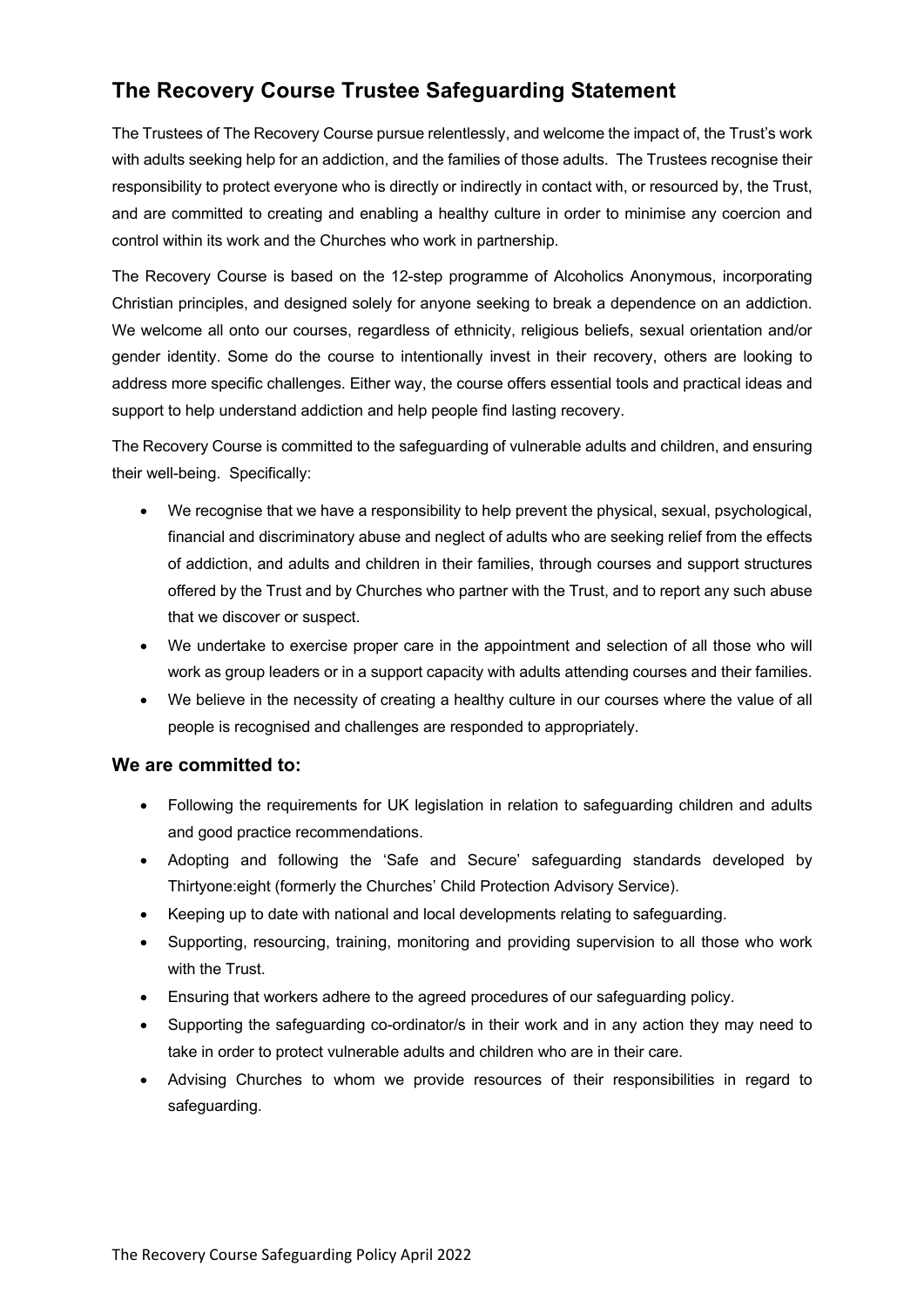## **The Recovery Course Trustee Safeguarding Statement**

The Trustees of The Recovery Course pursue relentlessly, and welcome the impact of, the Trust's work with adults seeking help for an addiction, and the families of those adults. The Trustees recognise their responsibility to protect everyone who is directly or indirectly in contact with, or resourced by, the Trust, and are committed to creating and enabling a healthy culture in order to minimise any coercion and control within its work and the Churches who work in partnership.

The Recovery Course is based on the 12-step programme of Alcoholics Anonymous, incorporating Christian principles, and designed solely for anyone seeking to break a dependence on an addiction. We welcome all onto our courses, regardless of ethnicity, religious beliefs, sexual orientation and/or gender identity. Some do the course to intentionally invest in their recovery, others are looking to address more specific challenges. Either way, the course offers essential tools and practical ideas and support to help understand addiction and help people find lasting recovery.

The Recovery Course is committed to the safeguarding of vulnerable adults and children, and ensuring their well-being. Specifically:

- We recognise that we have a responsibility to help prevent the physical, sexual, psychological, financial and discriminatory abuse and neglect of adults who are seeking relief from the effects of addiction, and adults and children in their families, through courses and support structures offered by the Trust and by Churches who partner with the Trust, and to report any such abuse that we discover or suspect.
- We undertake to exercise proper care in the appointment and selection of all those who will work as group leaders or in a support capacity with adults attending courses and their families.
- We believe in the necessity of creating a healthy culture in our courses where the value of all people is recognised and challenges are responded to appropriately.

#### **We are committed to:**

- Following the requirements for UK legislation in relation to safeguarding children and adults and good practice recommendations.
- Adopting and following the 'Safe and Secure' safeguarding standards developed by Thirtyone:eight (formerly the Churches' Child Protection Advisory Service).
- Keeping up to date with national and local developments relating to safeguarding.
- Supporting, resourcing, training, monitoring and providing supervision to all those who work with the Trust.
- Ensuring that workers adhere to the agreed procedures of our safeguarding policy.
- Supporting the safeguarding co-ordinator/s in their work and in any action they may need to take in order to protect vulnerable adults and children who are in their care.
- Advising Churches to whom we provide resources of their responsibilities in regard to safeguarding.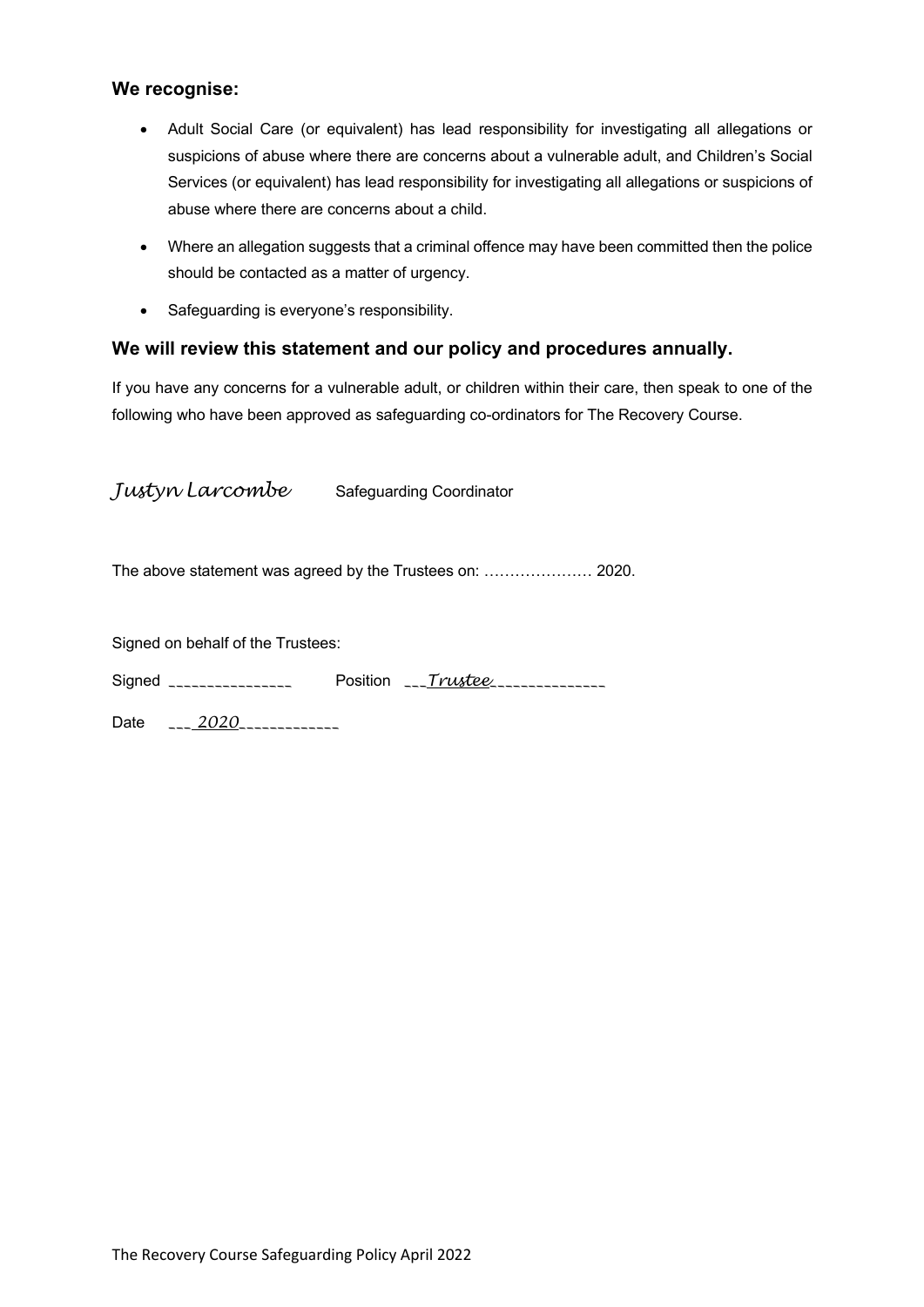#### **We recognise:**

- Adult Social Care (or equivalent) has lead responsibility for investigating all allegations or suspicions of abuse where there are concerns about a vulnerable adult, and Children's Social Services (or equivalent) has lead responsibility for investigating all allegations or suspicions of abuse where there are concerns about a child.
- Where an allegation suggests that a criminal offence may have been committed then the police should be contacted as a matter of urgency.
- Safeguarding is everyone's responsibility.

#### **We will review this statement and our policy and procedures annually.**

If you have any concerns for a vulnerable adult, or children within their care, then speak to one of the following who have been approved as safeguarding co-ordinators for The Recovery Course.

| Justyn Larcombe                   | <b>Safeguarding Coordinator</b> |  |
|-----------------------------------|---------------------------------|--|
|                                   |                                 |  |
| Signed on behalf of the Trustees: |                                 |  |
| Signed _________________          | Position $\sqrt{r}$ rustee      |  |
| Date ___ 2020_____________        |                                 |  |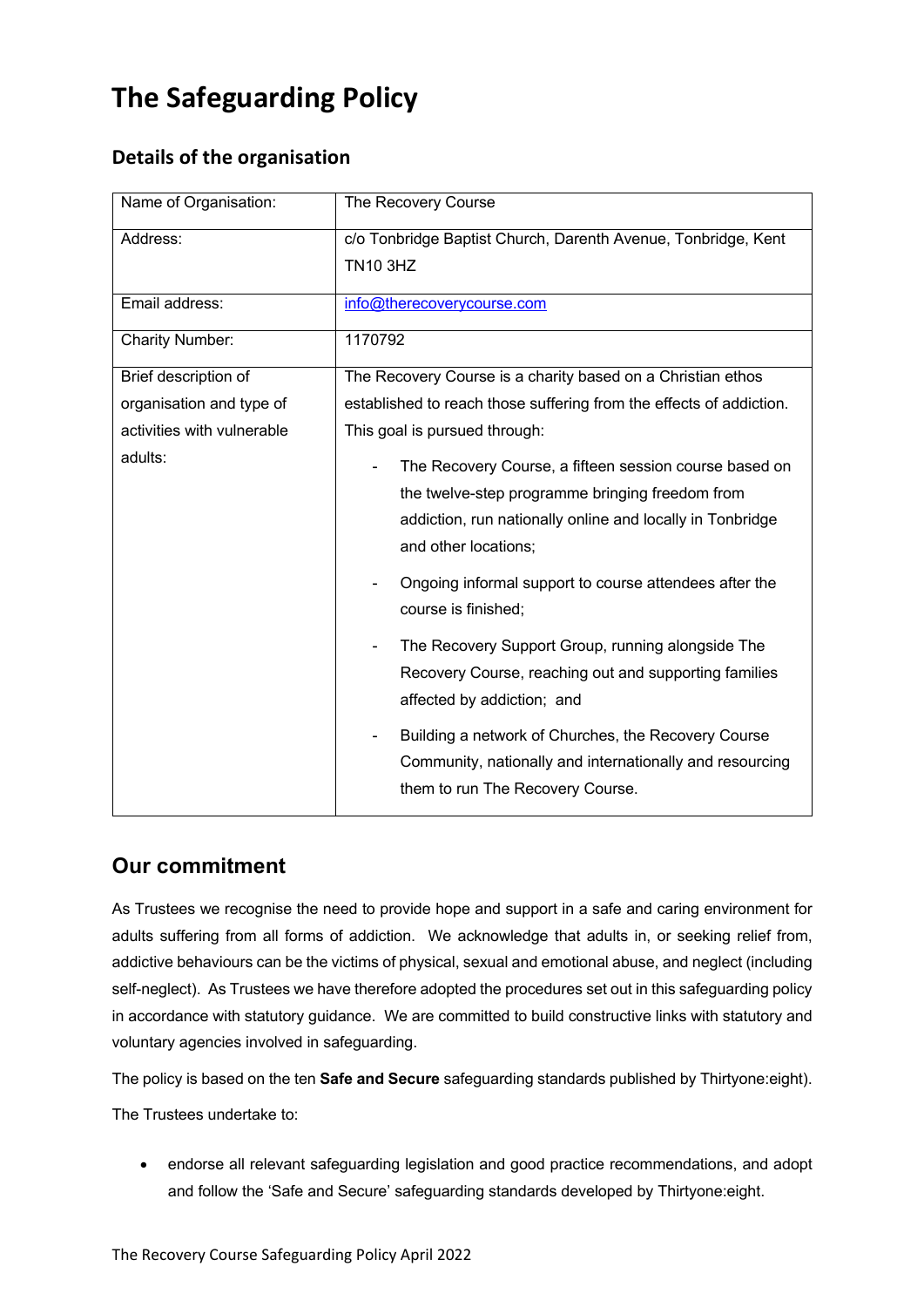# **The Safeguarding Policy**

## **Details of the organisation**

| Name of Organisation:                                                                     | The Recovery Course                                                                                                                                                                                                                                                                                                                                                                                                                                                                                                                                                                                                                                                                                                                                       |
|-------------------------------------------------------------------------------------------|-----------------------------------------------------------------------------------------------------------------------------------------------------------------------------------------------------------------------------------------------------------------------------------------------------------------------------------------------------------------------------------------------------------------------------------------------------------------------------------------------------------------------------------------------------------------------------------------------------------------------------------------------------------------------------------------------------------------------------------------------------------|
| Address:                                                                                  | c/o Tonbridge Baptist Church, Darenth Avenue, Tonbridge, Kent<br><b>TN10 3HZ</b>                                                                                                                                                                                                                                                                                                                                                                                                                                                                                                                                                                                                                                                                          |
| Email address:                                                                            | info@therecoverycourse.com                                                                                                                                                                                                                                                                                                                                                                                                                                                                                                                                                                                                                                                                                                                                |
| <b>Charity Number:</b>                                                                    | 1170792                                                                                                                                                                                                                                                                                                                                                                                                                                                                                                                                                                                                                                                                                                                                                   |
| Brief description of<br>organisation and type of<br>activities with vulnerable<br>adults: | The Recovery Course is a charity based on a Christian ethos<br>established to reach those suffering from the effects of addiction.<br>This goal is pursued through:<br>The Recovery Course, a fifteen session course based on<br>the twelve-step programme bringing freedom from<br>addiction, run nationally online and locally in Tonbridge<br>and other locations;<br>Ongoing informal support to course attendees after the<br>course is finished;<br>The Recovery Support Group, running alongside The<br>Recovery Course, reaching out and supporting families<br>affected by addiction; and<br>Building a network of Churches, the Recovery Course<br>Community, nationally and internationally and resourcing<br>them to run The Recovery Course. |

### **Our commitment**

As Trustees we recognise the need to provide hope and support in a safe and caring environment for adults suffering from all forms of addiction. We acknowledge that adults in, or seeking relief from, addictive behaviours can be the victims of physical, sexual and emotional abuse, and neglect (including self-neglect). As Trustees we have therefore adopted the procedures set out in this safeguarding policy in accordance with statutory guidance. We are committed to build constructive links with statutory and voluntary agencies involved in safeguarding.

The policy is based on the ten **Safe and Secure** safeguarding standards published by Thirtyone:eight).

The Trustees undertake to:

• endorse all relevant safeguarding legislation and good practice recommendations, and adopt and follow the 'Safe and Secure' safeguarding standards developed by Thirtyone:eight.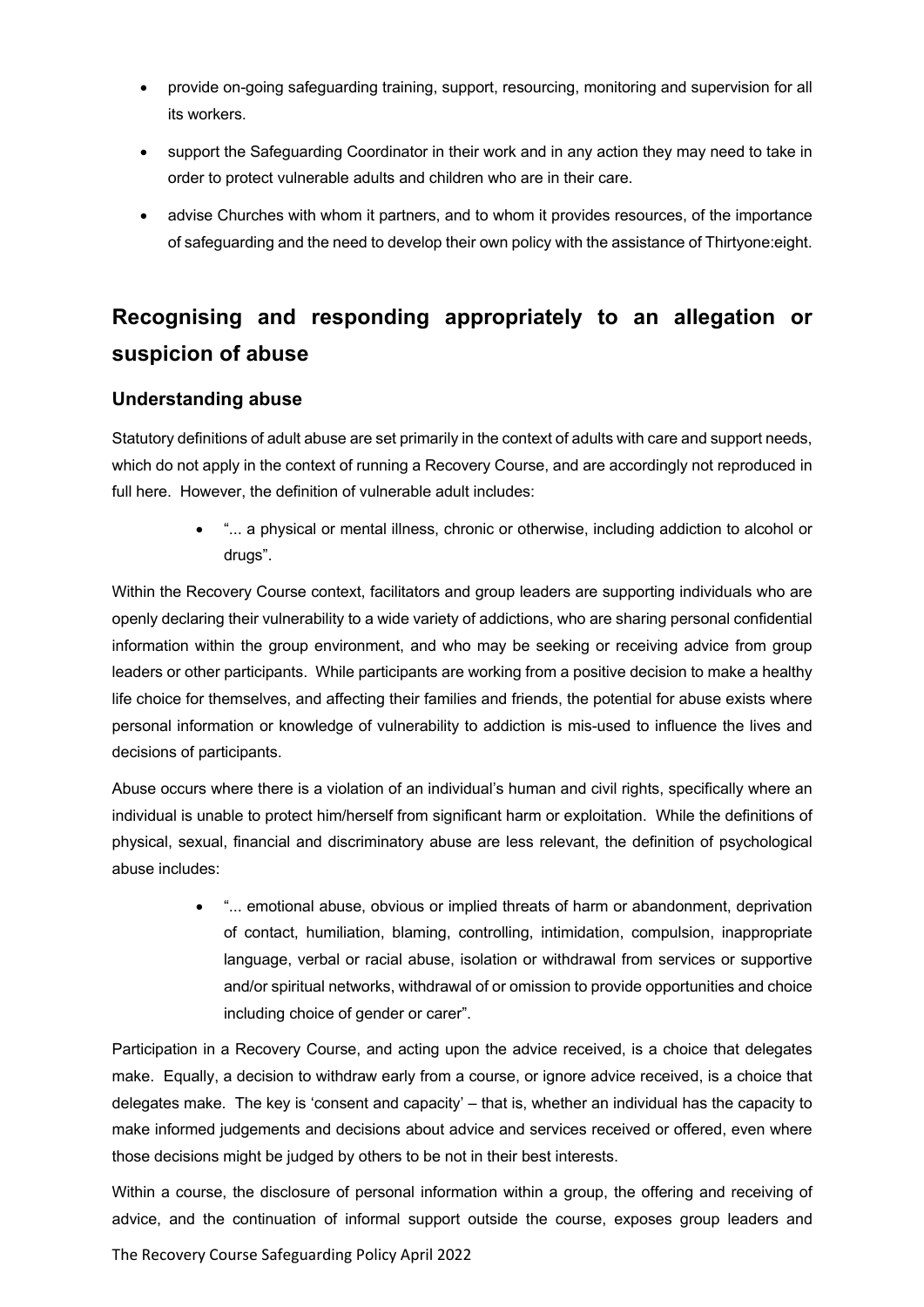- provide on-going safeguarding training, support, resourcing, monitoring and supervision for all its workers.
- support the Safeguarding Coordinator in their work and in any action they may need to take in order to protect vulnerable adults and children who are in their care.
- advise Churches with whom it partners, and to whom it provides resources, of the importance of safeguarding and the need to develop their own policy with the assistance of Thirtyone:eight.

## **Recognising and responding appropriately to an allegation or suspicion of abuse**

#### **Understanding abuse**

Statutory definitions of adult abuse are set primarily in the context of adults with care and support needs, which do not apply in the context of running a Recovery Course, and are accordingly not reproduced in full here. However, the definition of vulnerable adult includes:

> • "... a physical or mental illness, chronic or otherwise, including addiction to alcohol or drugs".

Within the Recovery Course context, facilitators and group leaders are supporting individuals who are openly declaring their vulnerability to a wide variety of addictions, who are sharing personal confidential information within the group environment, and who may be seeking or receiving advice from group leaders or other participants. While participants are working from a positive decision to make a healthy life choice for themselves, and affecting their families and friends, the potential for abuse exists where personal information or knowledge of vulnerability to addiction is mis-used to influence the lives and decisions of participants.

Abuse occurs where there is a violation of an individual's human and civil rights, specifically where an individual is unable to protect him/herself from significant harm or exploitation. While the definitions of physical, sexual, financial and discriminatory abuse are less relevant, the definition of psychological abuse includes:

> • "... emotional abuse, obvious or implied threats of harm or abandonment, deprivation of contact, humiliation, blaming, controlling, intimidation, compulsion, inappropriate language, verbal or racial abuse, isolation or withdrawal from services or supportive and/or spiritual networks, withdrawal of or omission to provide opportunities and choice including choice of gender or carer".

Participation in a Recovery Course, and acting upon the advice received, is a choice that delegates make. Equally, a decision to withdraw early from a course, or ignore advice received, is a choice that delegates make. The key is 'consent and capacity' – that is, whether an individual has the capacity to make informed judgements and decisions about advice and services received or offered, even where those decisions might be judged by others to be not in their best interests.

Within a course, the disclosure of personal information within a group, the offering and receiving of advice, and the continuation of informal support outside the course, exposes group leaders and

The Recovery Course Safeguarding Policy April 2022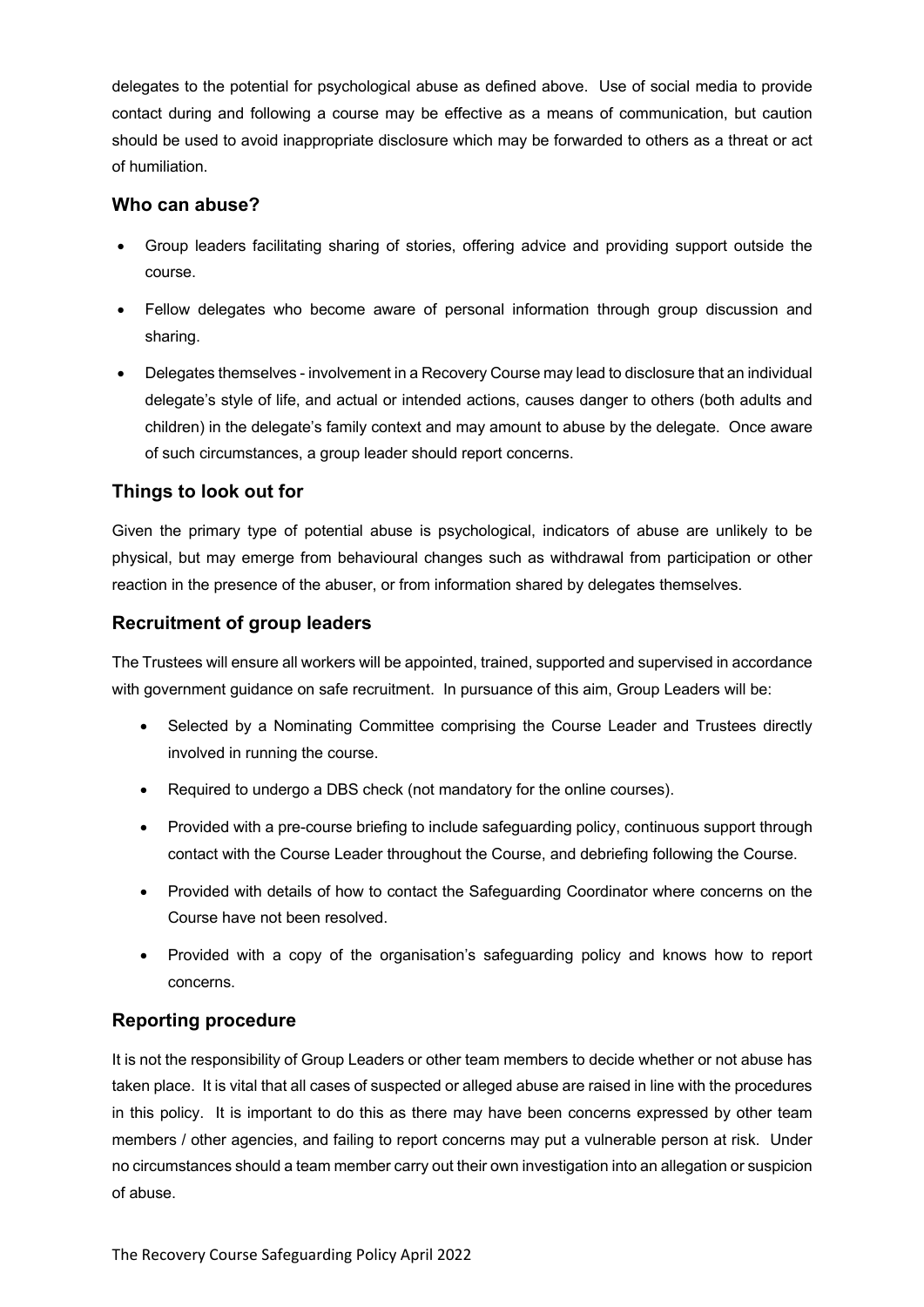delegates to the potential for psychological abuse as defined above. Use of social media to provide contact during and following a course may be effective as a means of communication, but caution should be used to avoid inappropriate disclosure which may be forwarded to others as a threat or act of humiliation.

#### **Who can abuse?**

- Group leaders facilitating sharing of stories, offering advice and providing support outside the course.
- Fellow delegates who become aware of personal information through group discussion and sharing.
- Delegates themselves involvement in a Recovery Course may lead to disclosure that an individual delegate's style of life, and actual or intended actions, causes danger to others (both adults and children) in the delegate's family context and may amount to abuse by the delegate. Once aware of such circumstances, a group leader should report concerns.

#### **Things to look out for**

Given the primary type of potential abuse is psychological, indicators of abuse are unlikely to be physical, but may emerge from behavioural changes such as withdrawal from participation or other reaction in the presence of the abuser, or from information shared by delegates themselves.

#### **Recruitment of group leaders**

The Trustees will ensure all workers will be appointed, trained, supported and supervised in accordance with government guidance on safe recruitment. In pursuance of this aim, Group Leaders will be:

- Selected by a Nominating Committee comprising the Course Leader and Trustees directly involved in running the course.
- Required to undergo a DBS check (not mandatory for the online courses).
- Provided with a pre-course briefing to include safeguarding policy, continuous support through contact with the Course Leader throughout the Course, and debriefing following the Course.
- Provided with details of how to contact the Safeguarding Coordinator where concerns on the Course have not been resolved.
- Provided with a copy of the organisation's safeguarding policy and knows how to report concerns.

#### **Reporting procedure**

It is not the responsibility of Group Leaders or other team members to decide whether or not abuse has taken place. It is vital that all cases of suspected or alleged abuse are raised in line with the procedures in this policy. It is important to do this as there may have been concerns expressed by other team members / other agencies, and failing to report concerns may put a vulnerable person at risk. Under no circumstances should a team member carry out their own investigation into an allegation or suspicion of abuse.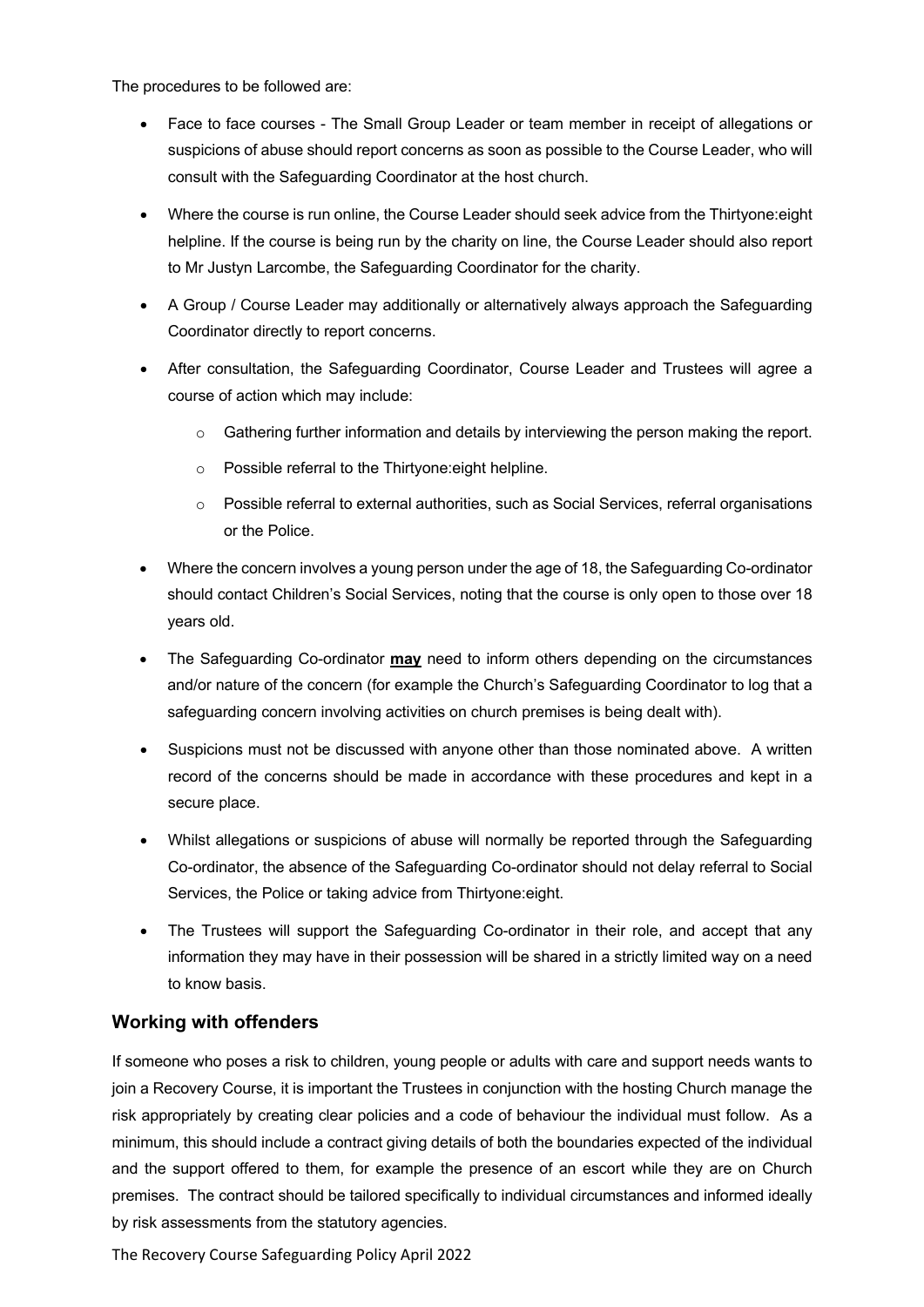The procedures to be followed are:

- Face to face courses The Small Group Leader or team member in receipt of allegations or suspicions of abuse should report concerns as soon as possible to the Course Leader, who will consult with the Safeguarding Coordinator at the host church.
- Where the course is run online, the Course Leader should seek advice from the Thirtyone:eight helpline. If the course is being run by the charity on line, the Course Leader should also report to Mr Justyn Larcombe, the Safeguarding Coordinator for the charity.
- A Group / Course Leader may additionally or alternatively always approach the Safeguarding Coordinator directly to report concerns.
- After consultation, the Safeguarding Coordinator, Course Leader and Trustees will agree a course of action which may include:
	- o Gathering further information and details by interviewing the person making the report.
	- o Possible referral to the Thirtyone:eight helpline.
	- $\circ$  Possible referral to external authorities, such as Social Services, referral organisations or the Police.
- Where the concern involves a young person under the age of 18, the Safeguarding Co-ordinator should contact Children's Social Services, noting that the course is only open to those over 18 years old.
- The Safeguarding Co-ordinator **may** need to inform others depending on the circumstances and/or nature of the concern (for example the Church's Safeguarding Coordinator to log that a safeguarding concern involving activities on church premises is being dealt with).
- Suspicions must not be discussed with anyone other than those nominated above. A written record of the concerns should be made in accordance with these procedures and kept in a secure place.
- Whilst allegations or suspicions of abuse will normally be reported through the Safeguarding Co-ordinator, the absence of the Safeguarding Co-ordinator should not delay referral to Social Services, the Police or taking advice from Thirtyone:eight.
- The Trustees will support the Safeguarding Co-ordinator in their role, and accept that any information they may have in their possession will be shared in a strictly limited way on a need to know basis.

#### **Working with offenders**

If someone who poses a risk to children, young people or adults with care and support needs wants to join a Recovery Course, it is important the Trustees in conjunction with the hosting Church manage the risk appropriately by creating clear policies and a code of behaviour the individual must follow. As a minimum, this should include a contract giving details of both the boundaries expected of the individual and the support offered to them, for example the presence of an escort while they are on Church premises. The contract should be tailored specifically to individual circumstances and informed ideally by risk assessments from the statutory agencies.

The Recovery Course Safeguarding Policy April 2022